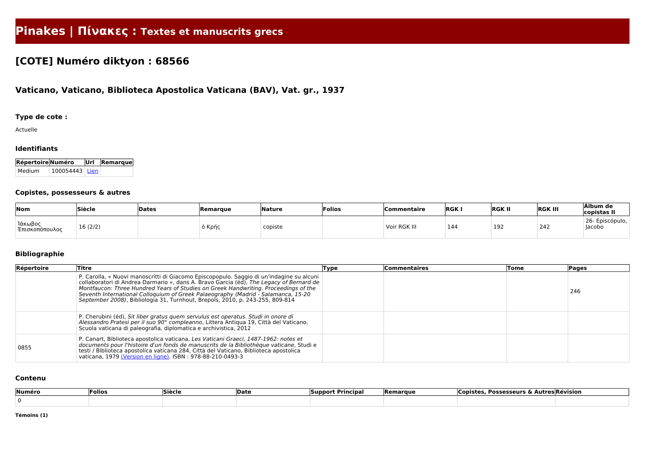# **Pinakes | Πίνακες : Textes et manuscrits grecs**

# **[COTE] Numéro diktyon : 68566**

# **Vaticano, Vaticano, Biblioteca Apostolica Vaticana (BAV), Vat. gr., 1937**

## **Type de cote :**

Actuelle

#### **Identifiants**

| <b>Répertoire Numéro</b> |                  | $ $ Url $ $ Remarque $ $ |
|--------------------------|------------------|--------------------------|
| l Medium.                | $100054443$ Lien |                          |

#### **Copistes, possesseurs & autres**

| Nom                       | Siècle  | Dates | Remarque | Nature  | Folios | Commentaire  | RGK | <b>RGK II</b> | <b>RGK III</b> | Álbum de<br>copistas II   |
|---------------------------|---------|-------|----------|---------|--------|--------------|-----|---------------|----------------|---------------------------|
| Ίάκωβος<br>Έπισκοπόπουλος | 16(2/2) |       | 5 Κρής   | copiste |        | Voir RGK III | 144 | 192           | 242            | 26- Episcópulo,<br>Jacobo |

## **Bibliographie**

| Répertoire | Titre                                                                                                                                                                                                                                                                                                                                                                                                                                            | Type | <b>Commentaires</b> | Tome | <b>Pages</b> |
|------------|--------------------------------------------------------------------------------------------------------------------------------------------------------------------------------------------------------------------------------------------------------------------------------------------------------------------------------------------------------------------------------------------------------------------------------------------------|------|---------------------|------|--------------|
|            | P. Carolla, « Nuovi manoscritti di Giacomo Episcopopulo. Saggio di un'indagine su alcuni<br>collaboratori di Andrea Darmario », dans A. Bravo Garcia (éd), The Legacy of Bernard de<br>Montfaucon: Three Hundred Years of Studies on Greek Handwriting. Proceedings of the<br>Seventh International Colloquium of Greek Palaeography (Madrid - Salamanca, 15-20<br>September 2008), Bibliologia 31, Turnhout, Brepols, 2010, p. 243-255, 809-814 |      |                     |      | 246          |
|            | P. Cherubini (éd), Sit liber gratus quem servulus est operatus. Studi in onore di<br>Alessandro Pratesi per il suo 90° compleanno, Littera Antiqua 19, Città del Vaticano,<br>Scuola vaticana di paleografia, diplomatica e archivistica, 2012                                                                                                                                                                                                   |      |                     |      |              |
| 0855       | P. Canart, Biblioteca apostolica vaticana, Les Vaticani Graeci, 1487-1962: notes et<br>documents pour l'histoire d'un fonds de manuscrits de la Bibliothèque vaticane, Studi e<br>testi / Biblioteca apostolica vaticana 284, Città del Vaticano, Biblioteca apostolica<br>vaticana, 1979 (Version en ligne). ISBN: 978-88-210-0493-3                                                                                                            |      |                     |      |              |

#### **Contenu**

| Numéro | <b>Folios</b> | $\sim$<br>Sièch | <b>IDate</b> | <b>Principa</b><br>ISupport | <b>Remarque</b> | *utres Révision<br><b>Possesseurs</b> |  |  |
|--------|---------------|-----------------|--------------|-----------------------------|-----------------|---------------------------------------|--|--|
|        |               |                 |              |                             |                 |                                       |  |  |